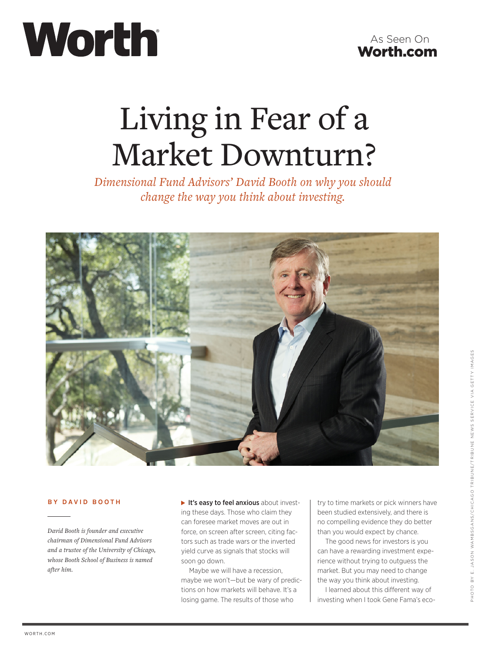# Worth



# Living in Fear of a Market Downturn?

*Dimensional Fund Advisors' David Booth on why you should change the way you think about investing.*



# **BY D A VID BOOTH**

*David Booth is founder and executive chairman of Dimensional Fund Advisors and a trustee of the University of Chicago, whose Booth School of Business is named after him.*

It's easy to feel anxious about investing these days. Those who claim they can foresee market moves are out in force, on screen after screen, citing factors such as trade wars or the inverted yield curve as signals that stocks will soon go down.

Maybe we will have a recession, maybe we won't—but be wary of predictions on how markets will behave. It's a losing game. The results of those who

try to time markets or pick winners have been studied extensively, and there is no compelling evidence they do better than you would expect by chance.

The good news for investors is you can have a rewarding investment experience without trying to outguess the market. But you may need to change the way you think about investing.

I learned about this different way of investing when I took Gene Fama's eco-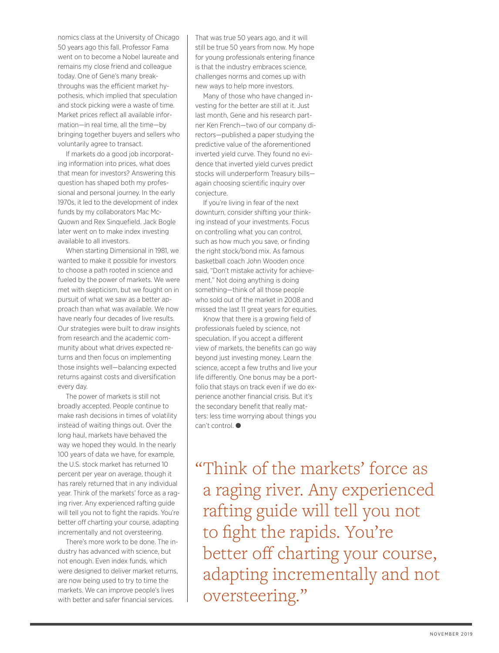nomics class at the University of Chicago 50 years ago this fall. Professor Fama went on to become a Nobel laureate and remains my close friend and colleague today. One of Gene's many breakthroughs was the efficient market hypothesis, which implied that speculation and stock picking were a waste of time. Market prices reflect all available information—in real time, all the time—by bringing together buyers and sellers who voluntarily agree to transact.

If markets do a good job incorporating information into prices, what does that mean for investors? Answering this question has shaped both my professional and personal journey. In the early 1970s, it led to the development of index funds by my collaborators Mac Mc-Quown and Rex Sinquefield. Jack Bogle later went on to make index investing available to all investors.

When starting Dimensional in 1981, we wanted to make it possible for investors to choose a path rooted in science and fueled by the power of markets. We were met with skepticism, but we fought on in pursuit of what we saw as a better approach than what was available. We now have nearly four decades of live results. Our strategies were built to draw insights from research and the academic community about what drives expected returns and then focus on implementing those insights well—balancing expected returns against costs and diversification every day.

The power of markets is still not broadly accepted. People continue to make rash decisions in times of volatility instead of waiting things out. Over the long haul, markets have behaved the way we hoped they would. In the nearly 100 years of data we have, for example, the U.S. stock market has returned 10 percent per year on average, though it has rarely returned that in any individual year. Think of the markets' force as a raging river. Any experienced rafting guide will tell you not to fight the rapids. You're better off charting your course, adapting incrementally and not oversteering.

There's more work to be done. The industry has advanced with science, but not enough. Even index funds, which were designed to deliver market returns, are now being used to try to time the markets. We can improve people's lives with better and safer financial services.

That was true 50 years ago, and it will still be true 50 years from now. My hope for young professionals entering finance is that the industry embraces science, challenges norms and comes up with new ways to help more investors.

Many of those who have changed investing for the better are still at it. Just last month, Gene and his research partner Ken French—two of our company directors—published a paper studying the predictive value of the aforementioned inverted yield curve. They found no evidence that inverted yield curves predict stocks will underperform Treasury bills again choosing scientific inquiry over conjecture.

If you're living in fear of the next downturn, consider shifting your thinking instead of your investments. Focus on controlling what you can control, such as how much you save, or finding the right stock/bond mix. As famous basketball coach John Wooden once said, "Don't mistake activity for achievement." Not doing anything is doing something—think of all those people who sold out of the market in 2008 and missed the last 11 great years for equities.

Know that there is a growing field of professionals fueled by science, not speculation. If you accept a different view of markets, the benefits can go way beyond just investing money. Learn the science, accept a few truths and live your life differently. One bonus may be a portfolio that stays on track even if we do experience another financial crisis. But it's the secondary benefit that really matters: less time worrying about things you  $can't control.  $\bullet$$ 

"Think of the markets' force as a raging river. Any experienced rafting guide will tell you not to fight the rapids. You're better off charting your course, adapting incrementally and not oversteering."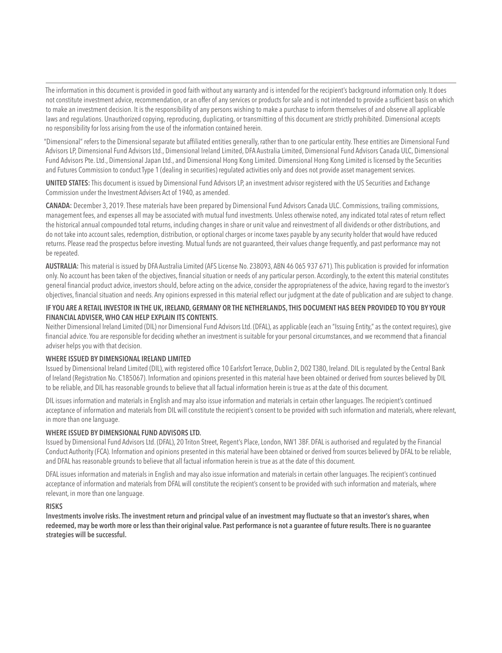The information in this document is provided in good faith without any warranty and is intended for the recipient's background information only. It does not constitute investment advice, recommendation, or an offer of any services or products for sale and is not intended to provide a sufficient basis on which to make an investment decision. It is the responsibility of any persons wishing to make a purchase to inform themselves of and observe all applicable laws and regulations. Unauthorized copying, reproducing, duplicating, or transmitting of this document are strictly prohibited. Dimensional accepts no responsibility for loss arising from the use of the information contained herein.

"Dimensional" refers to the Dimensional separate but affiliated entities generally, rather than to one particular entity. These entities are Dimensional Fund Advisors LP, Dimensional Fund Advisors Ltd., Dimensional Ireland Limited, DFA Australia Limited, Dimensional Fund Advisors Canada ULC, Dimensional Fund Advisors Pte. Ltd., Dimensional Japan Ltd., and Dimensional Hong Kong Limited. Dimensional Hong Kong Limited is licensed by the Securities and Futures Commission to conduct Type 1 (dealing in securities) regulated activities only and does not provide asset management services.

UNITED STATES: This document is issued by Dimensional Fund Advisors LP, an investment advisor registered with the US Securities and Exchange Commission under the Investment Advisers Act of 1940, as amended.

CANADA: December 3, 2019. These materials have been prepared by Dimensional Fund Advisors Canada ULC. Commissions, trailing commissions, management fees, and expenses all may be associated with mutual fund investments. Unless otherwise noted, any indicated total rates of return reflect the historical annual compounded total returns, including changes in share or unit value and reinvestment of all dividends or other distributions, and do not take into account sales, redemption, distribution, or optional charges or income taxes payable by any security holder that would have reduced returns. Please read the prospectus before investing. Mutual funds are not guaranteed, their values change frequently, and past performance may not be repeated.

AUSTRALIA: This material is issued by DFA Australia Limited (AFS License No. 238093, ABN 46 065 937 671). This publication is provided for information only. No account has been taken of the objectives, financial situation or needs of any particular person. Accordingly, to the extent this material constitutes general financial product advice, investors should, before acting on the advice, consider the appropriateness of the advice, having regard to the investor's objectives, financial situation and needs. Any opinions expressed in this material reflect our judgment at the date of publication and are subject to change.

# IF YOU ARE A RETAIL INVESTOR IN THE UK, IRELAND, GERMANY OR THE NETHERLANDS, THIS DOCUMENT HAS BEEN PROVIDED TO YOU BY YOUR FINANCIAL ADVISER, WHO CAN HELP EXPLAIN ITS CONTENTS.

Neither Dimensional Ireland Limited (DIL) nor Dimensional Fund Advisors Ltd. (DFAL), as applicable (each an "Issuing Entity," as the context requires), give financial advice. You are responsible for deciding whether an investment is suitable for your personal circumstances, and we recommend that a financial adviser helps you with that decision.

### WHERE ISSUED BY DIMENSIONAL IRELAND LIMITED

Issued by Dimensional Ireland Limited (DIL), with registered office 10 Earlsfort Terrace, Dublin 2, D02 T380, Ireland. DIL is regulated by the Central Bank of Ireland (Registration No. C185067). Information and opinions presented in this material have been obtained or derived from sources believed by DIL to be reliable, and DIL has reasonable grounds to believe that all factual information herein is true as at the date of this document.

DIL issues information and materials in English and may also issue information and materials in certain other languages. The recipient's continued acceptance of information and materials from DIL will constitute the recipient's consent to be provided with such information and materials, where relevant, in more than one language.

### WHERE ISSUED BY DIMENSIONAL FUND ADVISORS LTD.

Issued by Dimensional Fund Advisors Ltd. (DFAL), 20 Triton Street, Regent's Place, London, NW1 3BF. DFAL is authorised and regulated by the Financial Conduct Authority (FCA). Information and opinions presented in this material have been obtained or derived from sources believed by DFAL to be reliable, and DFAL has reasonable grounds to believe that all factual information herein is true as at the date of this document.

DFAL issues information and materials in English and may also issue information and materials in certain other languages. The recipient's continued acceptance of information and materials from DFAL will constitute the recipient's consent to be provided with such information and materials, where relevant, in more than one language.

### RISKS

Investments involve risks. The investment return and principal value of an investment may fluctuate so that an investor's shares, when redeemed, may be worth more or less than their original value. Past performance is not a guarantee of future results. There is no guarantee strategies will be successful.